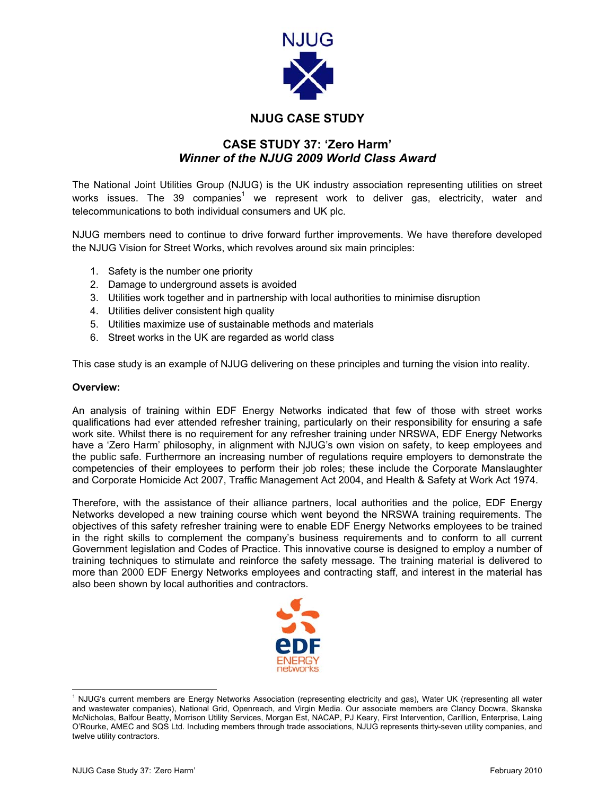

# **NJUG CASE STUDY**

## **CASE STUDY 37: 'Zero Harm'**  *Winner of the NJUG 2009 World Class Award*

The National Joint Utilities Group (NJUG) is the UK industry association representing utilities on street works issues. The 39 companies<sup>[1](#page-0-0)</sup> we represent work to deliver gas, electricity, water and telecommunications to both individual consumers and UK plc.

NJUG members need to continue to drive forward further improvements. We have therefore developed the NJUG Vision for Street Works, which revolves around six main principles:

- 1. Safety is the number one priority
- 2. Damage to underground assets is avoided
- 3. Utilities work together and in partnership with local authorities to minimise disruption
- 4. Utilities deliver consistent high quality
- 5. Utilities maximize use of sustainable methods and materials
- 6. Street works in the UK are regarded as world class

This case study is an example of NJUG delivering on these principles and turning the vision into reality.

## **Overview:**

An analysis of training within EDF Energy Networks indicated that few of those with street works qualifications had ever attended refresher training, particularly on their responsibility for ensuring a safe work site. Whilst there is no requirement for any refresher training under NRSWA, EDF Energy Networks have a 'Zero Harm' philosophy, in alignment with NJUG's own vision on safety, to keep employees and the public safe. Furthermore an increasing number of regulations require employers to demonstrate the competencies of their employees to perform their job roles; these include the Corporate Manslaughter and Corporate Homicide Act 2007, Traffic Management Act 2004, and Health & Safety at Work Act 1974.

Therefore, with the assistance of their alliance partners, local authorities and the police, EDF Energy Networks developed a new training course which went beyond the NRSWA training requirements. The objectives of this safety refresher training were to enable EDF Energy Networks employees to be trained in the right skills to complement the company's business requirements and to conform to all current Government legislation and Codes of Practice. This innovative course is designed to employ a number of training techniques to stimulate and reinforce the safety message. The training material is delivered to more than 2000 EDF Energy Networks employees and contracting staff, and interest in the material has also been shown by local authorities and contractors.

<span id="page-0-0"></span>

 $\frac{1}{1}$  NJUG's current members are Energy Networks Association (representing electricity and gas), Water UK (representing all water and wastewater companies), National Grid, Openreach, and Virgin Media. Our associate members are Clancy Docwra, Skanska McNicholas, Balfour Beatty, Morrison Utility Services, Morgan Est, NACAP, PJ Keary, First Intervention, Carillion, Enterprise, Laing O'Rourke, AMEC and SQS Ltd. Including members through trade associations, NJUG represents thirty-seven utility companies, and twelve utility contractors.